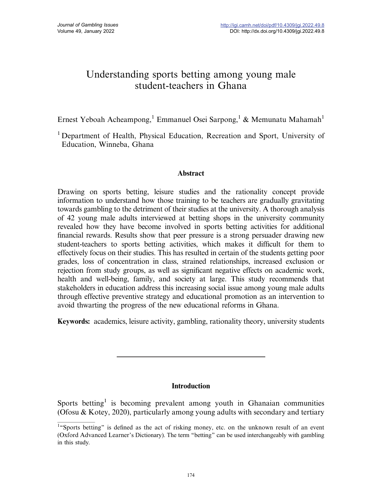# Understanding sports betting among young male student-teachers in Ghana

Ernest Yeboah Acheampong,<sup>1</sup> Emmanuel Osei Sarpong,<sup>1</sup> & Memunatu Mahamah<sup>1</sup>

<sup>1</sup> Department of Health, Physical Education, Recreation and Sport, University of Education, Winneba, Ghana

# Abstract

Drawing on sports betting, leisure studies and the rationality concept provide information to understand how those training to be teachers are gradually gravitating towards gambling to the detriment of their studies at the university. A thorough analysis of 42 young male adults interviewed at betting shops in the university community revealed how they have become involved in sports betting activities for additional financial rewards. Results show that peer pressure is a strong persuader drawing new student-teachers to sports betting activities, which makes it difficult for them to effectively focus on their studies. This has resulted in certain of the students getting poor grades, loss of concentration in class, strained relationships, increased exclusion or rejection from study groups, as well as significant negative effects on academic work, health and well-being, family, and society at large. This study recommends that stakeholders in education address this increasing social issue among young male adults through effective preventive strategy and educational promotion as an intervention to avoid thwarting the progress of the new educational reforms in Ghana.

Keywords: academics, leisure activity, gambling, rationality theory, university students

# **Introduction**

Sports betting<sup>1</sup> is becoming prevalent among youth in Ghanaian communities (Ofosu & Kotey, 2020), particularly among young adults with secondary and tertiary

<sup>&</sup>lt;sup>1</sup>"Sports betting" is defined as the act of risking money, etc. on the unknown result of an event (Oxford Advanced Learner's Dictionary). The term ''betting'' can be used interchangeably with gambling in this study.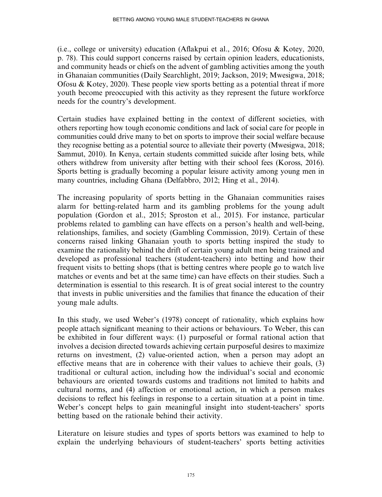(i.e., college or university) education (Aflakpui et al., 2016; Ofosu & Kotey, 2020, p. 78). This could support concerns raised by certain opinion leaders, educationists, and community heads or chiefs on the advent of gambling activities among the youth in Ghanaian communities (Daily Searchlight, 2019; Jackson, 2019; Mwesigwa, 2018; Ofosu & Kotey, 2020). These people view sports betting as a potential threat if more youth become preoccupied with this activity as they represent the future workforce needs for the country's development.

Certain studies have explained betting in the context of different societies, with others reporting how tough economic conditions and lack of social care for people in communities could drive many to bet on sports to improve their social welfare because they recognise betting as a potential source to alleviate their poverty (Mwesigwa, 2018; Sammut, 2010). In Kenya, certain students committed suicide after losing bets, while others withdrew from university after betting with their school fees (Koross, 2016). Sports betting is gradually becoming a popular leisure activity among young men in many countries, including Ghana (Delfabbro, 2012; Hing et al., 2014).

The increasing popularity of sports betting in the Ghanaian communities raises alarm for betting-related harm and its gambling problems for the young adult population (Gordon et al., 2015; Sproston et al., 2015). For instance, particular problems related to gambling can have effects on a person's health and well-being, relationships, families, and society (Gambling Commission, 2019). Certain of these concerns raised linking Ghanaian youth to sports betting inspired the study to examine the rationality behind the drift of certain young adult men being trained and developed as professional teachers (student-teachers) into betting and how their frequent visits to betting shops (that is betting centres where people go to watch live matches or events and bet at the same time) can have effects on their studies. Such a determination is essential to this research. It is of great social interest to the country that invests in public universities and the families that finance the education of their young male adults.

In this study, we used Weber's (1978) concept of rationality, which explains how people attach significant meaning to their actions or behaviours. To Weber, this can be exhibited in four different ways: (1) purposeful or formal rational action that involves a decision directed towards achieving certain purposeful desires to maximize returns on investment, (2) value-oriented action, when a person may adopt an effective means that are in coherence with their values to achieve their goals, (3) traditional or cultural action, including how the individual's social and economic behaviours are oriented towards customs and traditions not limited to habits and cultural norms, and (4) affection or emotional action, in which a person makes decisions to reflect his feelings in response to a certain situation at a point in time. Weber's concept helps to gain meaningful insight into student-teachers' sports betting based on the rationale behind their activity.

Literature on leisure studies and types of sports bettors was examined to help to explain the underlying behaviours of student-teachers' sports betting activities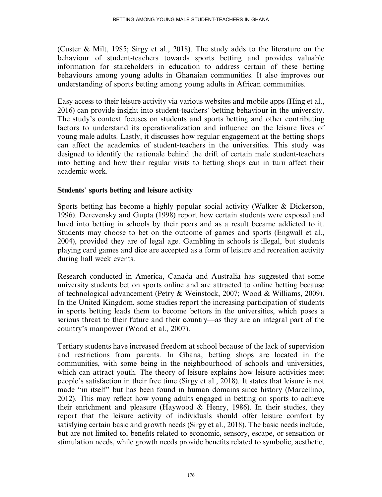(Custer & Milt, 1985; Sirgy et al., 2018). The study adds to the literature on the behaviour of student-teachers towards sports betting and provides valuable information for stakeholders in education to address certain of these betting behaviours among young adults in Ghanaian communities. It also improves our understanding of sports betting among young adults in African communities.

Easy access to their leisure activity via various websites and mobile apps (Hing et al., 2016) can provide insight into student-teachers' betting behaviour in the university. The study's context focuses on students and sports betting and other contributing factors to understand its operationalization and influence on the leisure lives of young male adults. Lastly, it discusses how regular engagement at the betting shops can affect the academics of student-teachers in the universities. This study was designed to identify the rationale behind the drift of certain male student-teachers into betting and how their regular visits to betting shops can in turn affect their academic work.

# Students' sports betting and leisure activity

Sports betting has become a highly popular social activity (Walker & Dickerson, 1996). Derevensky and Gupta (1998) report how certain students were exposed and lured into betting in schools by their peers and as a result became addicted to it. Students may choose to bet on the outcome of games and sports (Engwall et al., 2004), provided they are of legal age. Gambling in schools is illegal, but students playing card games and dice are accepted as a form of leisure and recreation activity during hall week events.

Research conducted in America, Canada and Australia has suggested that some university students bet on sports online and are attracted to online betting because of technological advancement (Petry & Weinstock, 2007; Wood & Williams, 2009). In the United Kingdom, some studies report the increasing participation of students in sports betting leads them to become bettors in the universities, which poses a serious threat to their future and their country—as they are an integral part of the country's manpower (Wood et al., 2007).

Tertiary students have increased freedom at school because of the lack of supervision and restrictions from parents. In Ghana, betting shops are located in the communities, with some being in the neighbourhood of schools and universities, which can attract youth. The theory of leisure explains how leisure activities meet people's satisfaction in their free time (Sirgy et al., 2018). It states that leisure is not made ''in itself'' but has been found in human domains since history (Marcellino, 2012). This may reflect how young adults engaged in betting on sports to achieve their enrichment and pleasure (Haywood & Henry, 1986). In their studies, they report that the leisure activity of individuals should offer leisure comfort by satisfying certain basic and growth needs (Sirgy et al., 2018). The basic needs include, but are not limited to, benefits related to economic, sensory, escape, or sensation or stimulation needs, while growth needs provide benefits related to symbolic, aesthetic,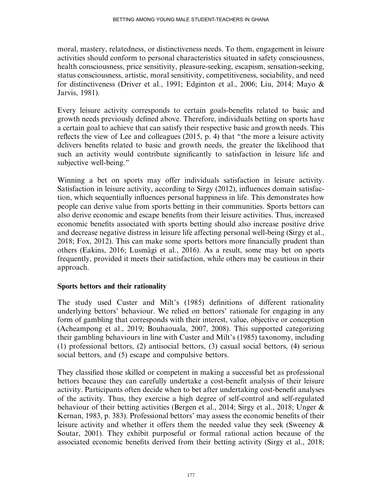moral, mastery, relatedness, or distinctiveness needs. To them, engagement in leisure activities should conform to personal characteristics situated in safety consciousness, health consciousness, price sensitivity, pleasure-seeking, escapism, sensation-seeking, status consciousness, artistic, moral sensitivity, competitiveness, sociability, and need for distinctiveness (Driver et al., 1991; Edginton et al., 2006; Liu, 2014; Mayo & Jarvis, 1981).

Every leisure activity corresponds to certain goals-benefits related to basic and growth needs previously defined above. Therefore, individuals betting on sports have a certain goal to achieve that can satisfy their respective basic and growth needs. This reflects the view of Lee and colleagues (2015, p. 4) that ''the more a leisure activity delivers benefits related to basic and growth needs, the greater the likelihood that such an activity would contribute significantly to satisfaction in leisure life and subjective well-being.''

Winning a bet on sports may offer individuals satisfaction in leisure activity. Satisfaction in leisure activity, according to Sirgy (2012), influences domain satisfaction, which sequentially influences personal happiness in life. This demonstrates how people can derive value from sports betting in their communities. Sports bettors can also derive economic and escape benefits from their leisure activities. Thus, increased economic benefits associated with sports betting should also increase positive drive and decrease negative distress in leisure life affecting personal well-being (Sirgy et al., 2018; Fox, 2012). This can make some sports bettors more financially prudent than others (Eakins, 2016; Lusmägi et al., 2016). As a result, some may bet on sports frequently, provided it meets their satisfaction, while others may be cautious in their approach.

# Sports bettors and their rationality

The study used Custer and Milt's (1985) definitions of different rationality underlying bettors' behaviour. We relied on bettors' rationale for engaging in any form of gambling that corresponds with their interest, value, objective or conception (Acheampong et al., 2019; Bouhaouala, 2007, 2008). This supported categorizing their gambling behaviours in line with Custer and Milt's (1985) taxonomy, including (1) professional bettors, (2) antisocial bettors, (3) casual social bettors, (4) serious social bettors, and (5) escape and compulsive bettors.

They classified those skilled or competent in making a successful bet as professional bettors because they can carefully undertake a cost-benefit analysis of their leisure activity. Participants often decide when to bet after undertaking cost-benefit analyses of the activity. Thus, they exercise a high degree of self-control and self-regulated behaviour of their betting activities (Bergen et al., 2014; Sirgy et al., 2018; Unger & Kernan, 1983, p. 383). Professional bettors' may assess the economic benefits of their leisure activity and whether it offers them the needed value they seek (Sweeney & Soutar, 2001). They exhibit purposeful or formal rational action because of the associated economic benefits derived from their betting activity (Sirgy et al., 2018;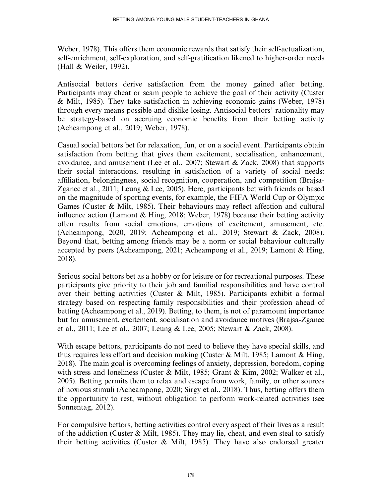Weber, 1978). This offers them economic rewards that satisfy their self-actualization, self-enrichment, self-exploration, and self-gratification likened to higher-order needs (Hall & Weiler, 1992).

Antisocial bettors derive satisfaction from the money gained after betting. Participants may cheat or scam people to achieve the goal of their activity (Custer & Milt, 1985). They take satisfaction in achieving economic gains (Weber, 1978) through every means possible and dislike losing. Antisocial bettors' rationality may be strategy-based on accruing economic benefits from their betting activity (Acheampong et al., 2019; Weber, 1978).

Casual social bettors bet for relaxation, fun, or on a social event. Participants obtain satisfaction from betting that gives them excitement, socialisation, enhancement, avoidance, and amusement (Lee et al., 2007; Stewart & Zack, 2008) that supports their social interactions, resulting in satisfaction of a variety of social needs: affiliation, belongingness, social recognition, cooperation, and competition (Brajsa-Zganec et al., 2011; Leung & Lee, 2005). Here, participants bet with friends or based on the magnitude of sporting events, for example, the FIFA World Cup or Olympic Games (Custer & Milt, 1985). Their behaviours may reflect affection and cultural influence action (Lamont & Hing, 2018; Weber, 1978) because their betting activity often results from social emotions, emotions of excitement, amusement, etc. (Acheampong, 2020, 2019; Acheampong et al., 2019; Stewart & Zack, 2008). Beyond that, betting among friends may be a norm or social behaviour culturally accepted by peers (Acheampong, 2021; Acheampong et al., 2019; Lamont & Hing, 2018).

Serious social bettors bet as a hobby or for leisure or for recreational purposes. These participants give priority to their job and familial responsibilities and have control over their betting activities (Custer & Milt, 1985). Participants exhibit a formal strategy based on respecting family responsibilities and their profession ahead of betting (Acheampong et al., 2019). Betting, to them, is not of paramount importance but for amusement, excitement, socialisation and avoidance motives (Brajsa-Zganec et al., 2011; Lee et al., 2007; Leung & Lee, 2005; Stewart & Zack, 2008).

With escape bettors, participants do not need to believe they have special skills, and thus requires less effort and decision making (Custer & Milt, 1985; Lamont & Hing, 2018). The main goal is overcoming feelings of anxiety, depression, boredom, coping with stress and loneliness (Custer & Milt, 1985; Grant & Kim, 2002; Walker et al., 2005). Betting permits them to relax and escape from work, family, or other sources of noxious stimuli (Acheampong, 2020; Sirgy et al., 2018). Thus, betting offers them the opportunity to rest, without obligation to perform work-related activities (see Sonnentag, 2012).

For compulsive bettors, betting activities control every aspect of their lives as a result of the addiction (Custer & Milt, 1985). They may lie, cheat, and even steal to satisfy their betting activities (Custer  $\&$  Milt, 1985). They have also endorsed greater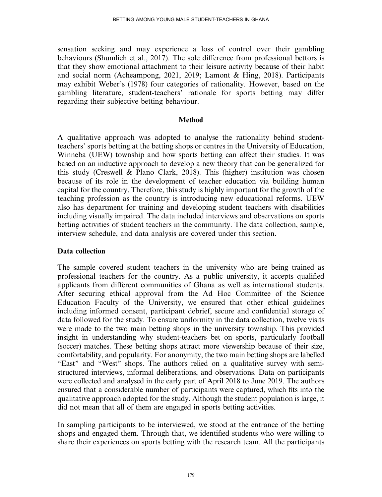sensation seeking and may experience a loss of control over their gambling behaviours (Shumlich et al., 2017). The sole difference from professional bettors is that they show emotional attachment to their leisure activity because of their habit and social norm (Acheampong, 2021, 2019; Lamont & Hing, 2018). Participants may exhibit Weber's (1978) four categories of rationality. However, based on the gambling literature, student-teachers' rationale for sports betting may differ regarding their subjective betting behaviour.

#### Method

A qualitative approach was adopted to analyse the rationality behind studentteachers' sports betting at the betting shops or centres in the University of Education, Winneba (UEW) township and how sports betting can affect their studies. It was based on an inductive approach to develop a new theory that can be generalized for this study (Creswell & Plano Clark, 2018). This (higher) institution was chosen because of its role in the development of teacher education via building human capital for the country. Therefore, this study is highly important for the growth of the teaching profession as the country is introducing new educational reforms. UEW also has department for training and developing student teachers with disabilities including visually impaired. The data included interviews and observations on sports betting activities of student teachers in the community. The data collection, sample, interview schedule, and data analysis are covered under this section.

# Data collection

The sample covered student teachers in the university who are being trained as professional teachers for the country. As a public university, it accepts qualified applicants from different communities of Ghana as well as international students. After securing ethical approval from the Ad Hoc Committee of the Science Education Faculty of the University, we ensured that other ethical guidelines including informed consent, participant debrief, secure and confidential storage of data followed for the study. To ensure uniformity in the data collection, twelve visits were made to the two main betting shops in the university township. This provided insight in understanding why student-teachers bet on sports, particularly football (soccer) matches. These betting shops attract more viewership because of their size, comfortability, and popularity. For anonymity, the two main betting shops are labelled "East" and "West" shops. The authors relied on a qualitative survey with semistructured interviews, informal deliberations, and observations. Data on participants were collected and analysed in the early part of April 2018 to June 2019. The authors ensured that a considerable number of participants were captured, which fits into the qualitative approach adopted for the study. Although the student population is large, it did not mean that all of them are engaged in sports betting activities.

In sampling participants to be interviewed, we stood at the entrance of the betting shops and engaged them. Through that, we identified students who were willing to share their experiences on sports betting with the research team. All the participants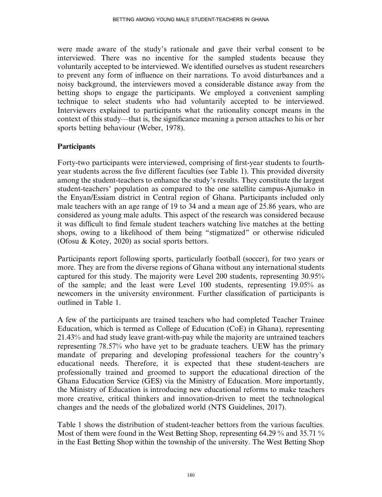were made aware of the study's rationale and gave their verbal consent to be interviewed. There was no incentive for the sampled students because they voluntarily accepted to be interviewed. We identified ourselves as student researchers to prevent any form of influence on their narrations. To avoid disturbances and a noisy background, the interviewers moved a considerable distance away from the betting shops to engage the participants. We employed a convenient sampling technique to select students who had voluntarily accepted to be interviewed. Interviewers explained to participants what the rationality concept means in the context of this study—that is, the significance meaning a person attaches to his or her sports betting behaviour (Weber, 1978).

# **Participants**

Forty-two participants were interviewed, comprising of first-year students to fourthyear students across the five different faculties (see Table 1). This provided diversity among the student-teachers to enhance the study's results. They constitute the largest student-teachers' population as compared to the one satellite campus-Ajumako in the Enyan/Essiam district in Central region of Ghana. Participants included only male teachers with an age range of 19 to 34 and a mean age of 25.86 years, who are considered as young male adults. This aspect of the research was considered because it was difficult to find female student teachers watching live matches at the betting shops, owing to a likelihood of them being ''stigmatized'' or otherwise ridiculed (Ofosu & Kotey, 2020) as social sports bettors.

Participants report following sports, particularly football (soccer), for two years or more. They are from the diverse regions of Ghana without any international students captured for this study. The majority were Level 200 students, representing 30.95% of the sample; and the least were Level 100 students, representing 19.05% as newcomers in the university environment. Further classification of participants is outlined in Table 1.

A few of the participants are trained teachers who had completed Teacher Trainee Education, which is termed as College of Education (CoE) in Ghana), representing 21.43% and had study leave grant-with-pay while the majority are untrained teachers representing 78.57% who have yet to be graduate teachers. UEW has the primary mandate of preparing and developing professional teachers for the country's educational needs. Therefore, it is expected that these student-teachers are professionally trained and groomed to support the educational direction of the Ghana Education Service (GES) via the Ministry of Education. More importantly, the Ministry of Education is introducing new educational reforms to make teachers more creative, critical thinkers and innovation-driven to meet the technological changes and the needs of the globalized world (NTS Guidelines, 2017).

Table 1 shows the distribution of student-teacher bettors from the various faculties. Most of them were found in the West Betting Shop, representing 64.29 % and 35.71 % in the East Betting Shop within the township of the university. The West Betting Shop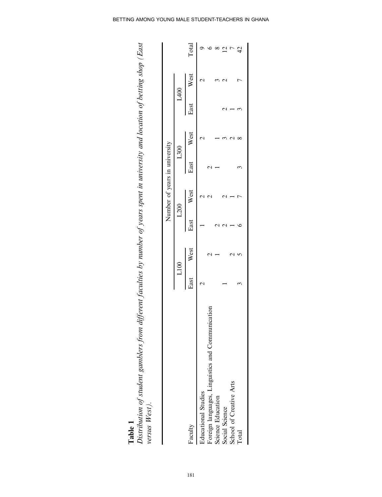|                                                                  |      |      |      | Number of years in university |      |           |      |           |       |
|------------------------------------------------------------------|------|------|------|-------------------------------|------|-----------|------|-----------|-------|
|                                                                  |      | L100 |      | L200                          | L300 |           | L400 |           |       |
| Faculty                                                          | East | West | East | West                          |      | East West |      | East West | Total |
| <b>Educational Studies</b>                                       |      |      |      |                               |      |           |      |           |       |
| cation                                                           |      |      |      |                               |      |           |      |           |       |
| Foreign languages, Linguistics and Communid<br>Science Education |      |      |      |                               |      |           |      |           |       |
| Social Science                                                   |      |      |      |                               |      |           |      |           |       |
| School of Creative Arts                                          |      |      |      |                               |      |           |      |           |       |
| Total                                                            |      |      |      |                               |      |           |      |           | 42    |

**Table 1**<br>Distribution of student gamblers from different faculties by number of years spent in university and location of betting shop (East<br>versus West). Distribution of student gamblers from different faculties by number of years spent in university and location of betting shop (East versus West).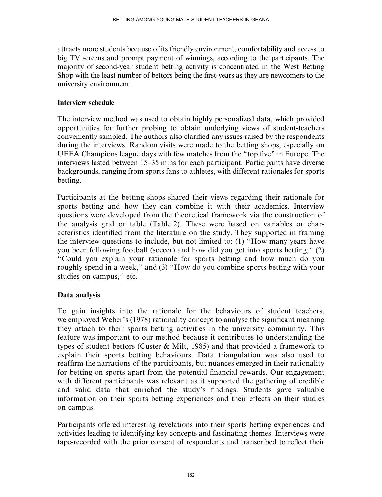attracts more students because of its friendly environment, comfortability and access to big TV screens and prompt payment of winnings, according to the participants. The majority of second-year student betting activity is concentrated in the West Betting Shop with the least number of bettors being the first-years as they are newcomers to the university environment.

# Interview schedule

The interview method was used to obtain highly personalized data, which provided opportunities for further probing to obtain underlying views of student-teachers conveniently sampled. The authors also clarified any issues raised by the respondents during the interviews. Random visits were made to the betting shops, especially on UEFA Champions league days with few matches from the ''top five'' in Europe. The interviews lasted between 15–35 mins for each participant. Participants have diverse backgrounds, ranging from sports fans to athletes, with different rationales for sports betting.

Participants at the betting shops shared their views regarding their rationale for sports betting and how they can combine it with their academics. Interview questions were developed from the theoretical framework via the construction of the analysis grid or table (Table 2). These were based on variables or characteristics identified from the literature on the study. They supported in framing the interview questions to include, but not limited to: (1) ''How many years have you been following football (soccer) and how did you get into sports betting,'' (2) ''Could you explain your rationale for sports betting and how much do you roughly spend in a week," and (3) "How do you combine sports betting with your studies on campus,'' etc.

# Data analysis

To gain insights into the rationale for the behaviours of student teachers, we employed Weber's (1978) rationality concept to analyse the significant meaning they attach to their sports betting activities in the university community. This feature was important to our method because it contributes to understanding the types of student bettors (Custer & Milt, 1985) and that provided a framework to explain their sports betting behaviours. Data triangulation was also used to reaffirm the narrations of the participants, but nuances emerged in their rationality for betting on sports apart from the potential financial rewards. Our engagement with different participants was relevant as it supported the gathering of credible and valid data that enriched the study's findings. Students gave valuable information on their sports betting experiences and their effects on their studies on campus.

Participants offered interesting revelations into their sports betting experiences and activities leading to identifying key concepts and fascinating themes. Interviews were tape-recorded with the prior consent of respondents and transcribed to reflect their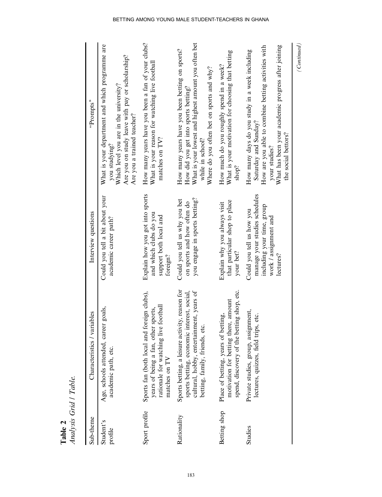| Sub-theme            | Characteristics / variables                                                                                                                                                | Interview questions                                                                                                            | "Prompts"                                                                                                                                                                                                                   |
|----------------------|----------------------------------------------------------------------------------------------------------------------------------------------------------------------------|--------------------------------------------------------------------------------------------------------------------------------|-----------------------------------------------------------------------------------------------------------------------------------------------------------------------------------------------------------------------------|
| Student's<br>profile | Age, schools attended, career goals,<br>academic path, etc.                                                                                                                | Could you tell a bit about your<br>academic career path?                                                                       | What is your department and which programme are<br>Are you on study leave with pay or scholarship?<br>Which level you are in the university?<br>Are you a trained teacher?<br>you studying?                                 |
| Sport profile        | Sports fan (both local and foreign clubs),<br>rationale for watching live football<br>years of being a fan, other sports,<br>matches on TV                                 | Explain how you got into sports<br>and which clubs do you<br>support both local and<br>foreign?                                | How many years have you been a fan of your clubs?<br>What is your reason for watching live football<br>matches on TV?                                                                                                       |
| Rationality          | Sports betting, a leisure activity, reason for<br>sports betting, economic interest, social,<br>cultural, hobby, entertainment, years of<br>betting, family, friends, etc. | you engage in sports betting?<br>Could you tell us why you bet<br>on sports and how often do                                   | What is your lowest and highest amount you often bet<br>How many years have you been betting on sports?<br>Where do you often bet on sports and why?<br>How did you get into sports betting?<br>while in school?            |
| Betting shop         | spend, discovery of the betting shop, etc.<br>amount<br>Place of betting, years of betting,<br>motivation for betting there,                                               | that particular shop to place<br>Explain why you always visit<br>your bet?                                                     | What is your motivation for choosing that betting<br>How much do you roughly spend in a week?<br>shop?                                                                                                                      |
| Studies              | Private studies, group, assignment,<br>lectures, quizzes, field trips, etc.                                                                                                | manage your studies schedules<br>including your time, group<br>Could you tell us how you<br>work / assignment and<br>lectures? | How are you able to combine betting activities with<br>What has been your academic progress after joining<br>How many days do you study in a week including<br>Saturday and Sunday?<br>the social bettors?<br>your studies? |
|                      |                                                                                                                                                                            |                                                                                                                                | (Continued)                                                                                                                                                                                                                 |

BETTING AMONG YOUNG MALE STUDENT-TEACHERS IN GHANA

183

Table 2<br>Analysis Grid / Table. Analysis Grid / Table.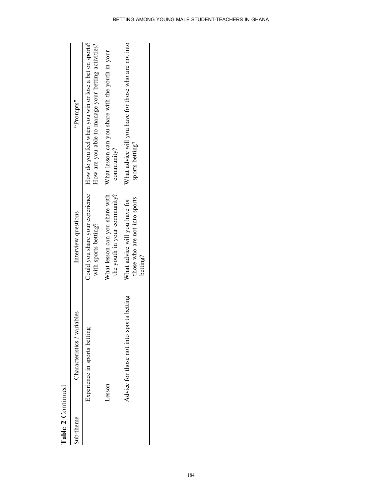| Table 2 Continued. |                                               |                                                                            |                                                                                                              |
|--------------------|-----------------------------------------------|----------------------------------------------------------------------------|--------------------------------------------------------------------------------------------------------------|
| Sub-theme          | Characteristics / variables                   | Interview questions                                                        | "Prompts"                                                                                                    |
|                    | Experience in sports betting                  | Could you share your experience<br>with sports betting?                    | How do you feel when you win or lose a bet on sports?<br>How are you able to manage your betting activities? |
|                    | Lesson                                        | What lesson can you share with<br>the youth in your community?             | What lesson can you share with the youth in your<br>community?                                               |
|                    | rts betting<br>Advice for those not into spor | those who are not into sports<br>What advice will you have for<br>betting? | What advice will you have for those who are not into<br>sports betting?                                      |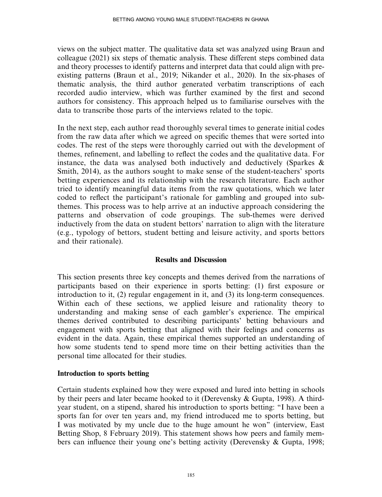views on the subject matter. The qualitative data set was analyzed using Braun and colleague (2021) six steps of thematic analysis. These different steps combined data and theory processes to identify patterns and interpret data that could align with preexisting patterns (Braun et al., 2019; Nikander et al., 2020). In the six-phases of thematic analysis, the third author generated verbatim transcriptions of each recorded audio interview, which was further examined by the first and second authors for consistency. This approach helped us to familiarise ourselves with the data to transcribe those parts of the interviews related to the topic.

In the next step, each author read thoroughly several times to generate initial codes from the raw data after which we agreed on specific themes that were sorted into codes. The rest of the steps were thoroughly carried out with the development of themes, refinement, and labelling to reflect the codes and the qualitative data. For instance, the data was analysed both inductively and deductively (Sparkes  $\&$ Smith, 2014), as the authors sought to make sense of the student-teachers' sports betting experiences and its relationship with the research literature. Each author tried to identify meaningful data items from the raw quotations, which we later coded to reflect the participant's rationale for gambling and grouped into subthemes. This process was to help arrive at an inductive approach considering the patterns and observation of code groupings. The sub-themes were derived inductively from the data on student bettors' narration to align with the literature (e.g., typology of bettors, student betting and leisure activity, and sports bettors and their rationale).

# Results and Discussion

This section presents three key concepts and themes derived from the narrations of participants based on their experience in sports betting: (1) first exposure or introduction to it, (2) regular engagement in it, and (3) its long-term consequences. Within each of these sections, we applied leisure and rationality theory to understanding and making sense of each gambler's experience. The empirical themes derived contributed to describing participants' betting behaviours and engagement with sports betting that aligned with their feelings and concerns as evident in the data. Again, these empirical themes supported an understanding of how some students tend to spend more time on their betting activities than the personal time allocated for their studies.

#### Introduction to sports betting

Certain students explained how they were exposed and lured into betting in schools by their peers and later became hooked to it (Derevensky & Gupta, 1998). A thirdyear student, on a stipend, shared his introduction to sports betting: ''I have been a sports fan for over ten years and, my friend introduced me to sports betting, but I was motivated by my uncle due to the huge amount he won'' (interview, East Betting Shop, 8 February 2019). This statement shows how peers and family members can influence their young one's betting activity (Derevensky & Gupta, 1998;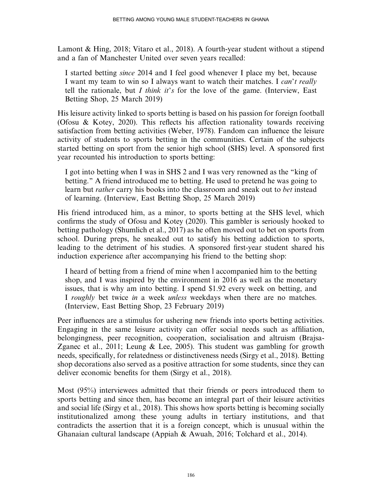Lamont & Hing, 2018; Vitaro et al., 2018). A fourth-year student without a stipend and a fan of Manchester United over seven years recalled:

I started betting since 2014 and I feel good whenever I place my bet, because I want my team to win so I always want to watch their matches. I *can't really* tell the rationale, but I think it's for the love of the game. (Interview, East Betting Shop, 25 March 2019)

His leisure activity linked to sports betting is based on his passion for foreign football (Ofosu & Kotey, 2020). This reflects his affection rationality towards receiving satisfaction from betting activities (Weber, 1978). Fandom can influence the leisure activity of students to sports betting in the communities. Certain of the subjects started betting on sport from the senior high school (SHS) level. A sponsored first year recounted his introduction to sports betting:

I got into betting when I was in SHS 2 and I was very renowned as the ''king of betting.'' A friend introduced me to betting. He used to pretend he was going to learn but *rather* carry his books into the classroom and sneak out to *bet* instead of learning. (Interview, East Betting Shop, 25 March 2019)

His friend introduced him, as a minor, to sports betting at the SHS level, which confirms the study of Ofosu and Kotey (2020). This gambler is seriously hooked to betting pathology (Shumlich et al., 2017) as he often moved out to bet on sports from school. During preps, he sneaked out to satisfy his betting addiction to sports, leading to the detriment of his studies. A sponsored first-year student shared his induction experience after accompanying his friend to the betting shop:

I heard of betting from a friend of mine when l accompanied him to the betting shop, and I was inspired by the environment in 2016 as well as the monetary issues, that is why am into betting. I spend \$1.92 every week on betting, and I roughly bet twice in a week unless weekdays when there are no matches. (Interview, East Betting Shop, 23 February 2019)

Peer influences are a stimulus for ushering new friends into sports betting activities. Engaging in the same leisure activity can offer social needs such as affiliation, belongingness, peer recognition, cooperation, socialisation and altruism (Brajsa-Zganec et al., 2011; Leung & Lee, 2005). This student was gambling for growth needs, specifically, for relatedness or distinctiveness needs (Sirgy et al., 2018). Betting shop decorations also served as a positive attraction for some students, since they can deliver economic benefits for them (Sirgy et al., 2018).

Most (95%) interviewees admitted that their friends or peers introduced them to sports betting and since then, has become an integral part of their leisure activities and social life (Sirgy et al., 2018). This shows how sports betting is becoming socially institutionalized among these young adults in tertiary institutions, and that contradicts the assertion that it is a foreign concept, which is unusual within the Ghanaian cultural landscape (Appiah & Awuah, 2016; Tolchard et al., 2014).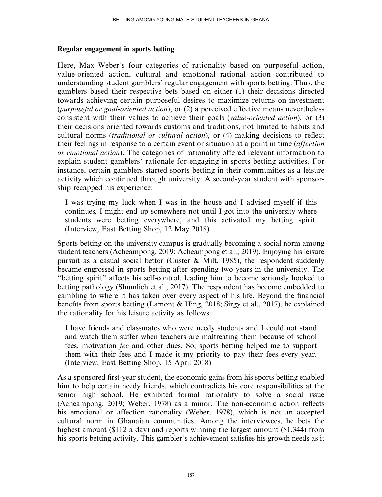# Regular engagement in sports betting

Here, Max Weber's four categories of rationality based on purposeful action, value-oriented action, cultural and emotional rational action contributed to understanding student gamblers' regular engagement with sports betting. Thus, the gamblers based their respective bets based on either (1) their decisions directed towards achieving certain purposeful desires to maximize returns on investment (purposeful or goal-oriented action), or (2) a perceived effective means nevertheless consistent with their values to achieve their goals (value-oriented action), or (3) their decisions oriented towards customs and traditions, not limited to habits and cultural norms (traditional or cultural action), or (4) making decisions to reflect their feelings in response to a certain event or situation at a point in time (affection or emotional action). The categories of rationality offered relevant information to explain student gamblers' rationale for engaging in sports betting activities. For instance, certain gamblers started sports betting in their communities as a leisure activity which continued through university. A second-year student with sponsorship recapped his experience:

I was trying my luck when I was in the house and I advised myself if this continues, I might end up somewhere not until I got into the university where students were betting everywhere, and this activated my betting spirit. (Interview, East Betting Shop, 12 May 2018)

Sports betting on the university campus is gradually becoming a social norm among student teachers (Acheampong, 2019; Acheampong et al., 2019). Enjoying his leisure pursuit as a casual social bettor (Custer & Milt, 1985), the respondent suddenly became engrossed in sports betting after spending two years in the university. The ''betting spirit'' affects his self-control, leading him to become seriously hooked to betting pathology (Shumlich et al., 2017). The respondent has become embedded to gambling to where it has taken over every aspect of his life. Beyond the financial benefits from sports betting (Lamont & Hing, 2018; Sirgy et al., 2017), he explained the rationality for his leisure activity as follows:

I have friends and classmates who were needy students and I could not stand and watch them suffer when teachers are maltreating them because of school fees, motivation fee and other dues. So, sports betting helped me to support them with their fees and I made it my priority to pay their fees every year. (Interview, East Betting Shop, 15 April 2018)

As a sponsored first-year student, the economic gains from his sports betting enabled him to help certain needy friends, which contradicts his core responsibilities at the senior high school. He exhibited formal rationality to solve a social issue (Acheampong, 2019; Weber, 1978) as a minor. The non-economic action reflects his emotional or affection rationality (Weber, 1978), which is not an accepted cultural norm in Ghanaian communities. Among the interviewees, he bets the highest amount (\$112 a day) and reports winning the largest amount (\$1,344) from his sports betting activity. This gambler's achievement satisfies his growth needs as it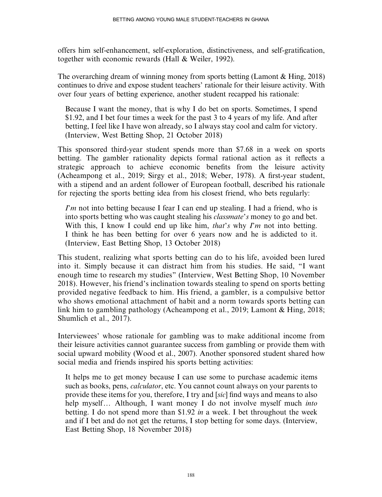offers him self-enhancement, self-exploration, distinctiveness, and self-gratification, together with economic rewards (Hall & Weiler, 1992).

The overarching dream of winning money from sports betting (Lamont & Hing, 2018) continues to drive and expose student teachers' rationale for their leisure activity. With over four years of betting experience, another student recapped his rationale:

Because I want the money, that is why I do bet on sports. Sometimes, I spend \$1.92, and I bet four times a week for the past 3 to 4 years of my life. And after betting, I feel like I have won already, so I always stay cool and calm for victory. (Interview, West Betting Shop, 21 October 2018)

This sponsored third-year student spends more than \$7.68 in a week on sports betting. The gambler rationality depicts formal rational action as it reflects a strategic approach to achieve economic benefits from the leisure activity (Acheampong et al., 2019; Sirgy et al., 2018; Weber, 1978). A first-year student, with a stipend and an ardent follower of European football, described his rationale for rejecting the sports betting idea from his closest friend, who bets regularly:

 $\Gamma$ m not into betting because I fear I can end up stealing. I had a friend, who is into sports betting who was caught stealing his classmate's money to go and bet. With this, I know I could end up like him, that's why  $\Gamma m$  not into betting. I think he has been betting for over 6 years now and he is addicted to it. (Interview, East Betting Shop, 13 October 2018)

This student, realizing what sports betting can do to his life, avoided been lured into it. Simply because it can distract him from his studies. He said, ''I want enough time to research my studies'' (Interview, West Betting Shop, 10 November 2018). However, his friend's inclination towards stealing to spend on sports betting provided negative feedback to him. His friend, a gambler, is a compulsive bettor who shows emotional attachment of habit and a norm towards sports betting can link him to gambling pathology (Acheampong et al., 2019; Lamont & Hing, 2018; Shumlich et al., 2017).

Interviewees' whose rationale for gambling was to make additional income from their leisure activities cannot guarantee success from gambling or provide them with social upward mobility (Wood et al., 2007). Another sponsored student shared how social media and friends inspired his sports betting activities:

It helps me to get money because I can use some to purchase academic items such as books, pens, *calculator*, etc. You cannot count always on your parents to provide these items for you, therefore, I try and [sic] find ways and means to also help myself... Although, I want money I do not involve myself much *into* betting. I do not spend more than \$1.92 in a week. I bet throughout the week and if I bet and do not get the returns, I stop betting for some days. (Interview, East Betting Shop, 18 November 2018)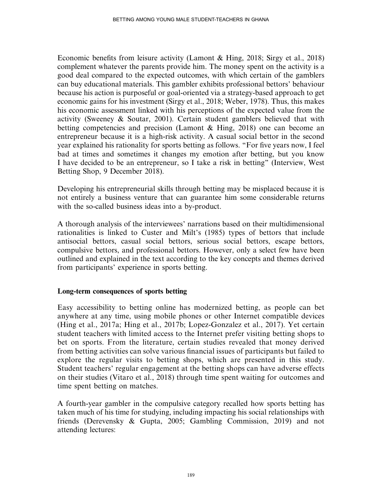Economic benefits from leisure activity (Lamont & Hing, 2018; Sirgy et al., 2018) complement whatever the parents provide him. The money spent on the activity is a good deal compared to the expected outcomes, with which certain of the gamblers can buy educational materials. This gambler exhibits professional bettors' behaviour because his action is purposeful or goal-oriented via a strategy-based approach to get economic gains for his investment (Sirgy et al., 2018; Weber, 1978). Thus, this makes his economic assessment linked with his perceptions of the expected value from the activity (Sweeney & Soutar, 2001). Certain student gamblers believed that with betting competencies and precision (Lamont & Hing, 2018) one can become an entrepreneur because it is a high-risk activity. A casual social bettor in the second year explained his rationality for sports betting as follows. ''For five years now, I feel bad at times and sometimes it changes my emotion after betting, but you know I have decided to be an entrepreneur, so I take a risk in betting'' (Interview, West Betting Shop, 9 December 2018).

Developing his entrepreneurial skills through betting may be misplaced because it is not entirely a business venture that can guarantee him some considerable returns with the so-called business ideas into a by-product.

A thorough analysis of the interviewees' narrations based on their multidimensional rationalities is linked to Custer and Milt's (1985) types of bettors that include antisocial bettors, casual social bettors, serious social bettors, escape bettors, compulsive bettors, and professional bettors. However, only a select few have been outlined and explained in the text according to the key concepts and themes derived from participants' experience in sports betting.

# Long-term consequences of sports betting

Easy accessibility to betting online has modernized betting, as people can bet anywhere at any time, using mobile phones or other Internet compatible devices (Hing et al., 2017a; Hing et al., 2017b; Lopez-Gonzalez et al., 2017). Yet certain student teachers with limited access to the Internet prefer visiting betting shops to bet on sports. From the literature, certain studies revealed that money derived from betting activities can solve various financial issues of participants but failed to explore the regular visits to betting shops, which are presented in this study. Student teachers' regular engagement at the betting shops can have adverse effects on their studies (Vitaro et al., 2018) through time spent waiting for outcomes and time spent betting on matches.

A fourth-year gambler in the compulsive category recalled how sports betting has taken much of his time for studying, including impacting his social relationships with friends (Derevensky & Gupta, 2005; Gambling Commission, 2019) and not attending lectures: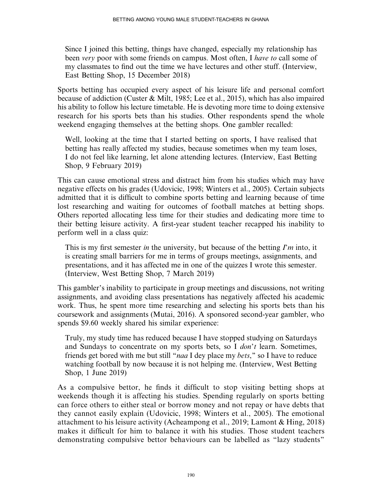Since I joined this betting, things have changed, especially my relationship has been very poor with some friends on campus. Most often, I have to call some of my classmates to find out the time we have lectures and other stuff. (Interview, East Betting Shop, 15 December 2018)

Sports betting has occupied every aspect of his leisure life and personal comfort because of addiction (Custer & Milt, 1985; Lee et al., 2015), which has also impaired his ability to follow his lecture timetable. He is devoting more time to doing extensive research for his sports bets than his studies. Other respondents spend the whole weekend engaging themselves at the betting shops. One gambler recalled:

Well, looking at the time that I started betting on sports, I have realised that betting has really affected my studies, because sometimes when my team loses, I do not feel like learning, let alone attending lectures. (Interview, East Betting Shop, 9 February 2019)

This can cause emotional stress and distract him from his studies which may have negative effects on his grades (Udovicic, 1998; Winters et al., 2005). Certain subjects admitted that it is difficult to combine sports betting and learning because of time lost researching and waiting for outcomes of football matches at betting shops. Others reported allocating less time for their studies and dedicating more time to their betting leisure activity. A first-year student teacher recapped his inability to perform well in a class quiz:

This is my first semester in the university, but because of the betting  $\Gamma m$  into, it is creating small barriers for me in terms of groups meetings, assignments, and presentations, and it has affected me in one of the quizzes I wrote this semester. (Interview, West Betting Shop, 7 March 2019)

This gambler's inability to participate in group meetings and discussions, not writing assignments, and avoiding class presentations has negatively affected his academic work. Thus, he spent more time researching and selecting his sports bets than his coursework and assignments (Mutai, 2016). A sponsored second-year gambler, who spends \$9.60 weekly shared his similar experience:

Truly, my study time has reduced because I have stopped studying on Saturdays and Sundays to concentrate on my sports bets, so I don't learn. Sometimes, friends get bored with me but still "*naa* I dey place my *bets*," so I have to reduce watching football by now because it is not helping me. (Interview, West Betting Shop, 1 June 2019)

As a compulsive bettor, he finds it difficult to stop visiting betting shops at weekends though it is affecting his studies. Spending regularly on sports betting can force others to either steal or borrow money and not repay or have debts that they cannot easily explain (Udovicic, 1998; Winters et al., 2005). The emotional attachment to his leisure activity (Acheampong et al., 2019; Lamont & Hing, 2018) makes it difficult for him to balance it with his studies. Those student teachers demonstrating compulsive bettor behaviours can be labelled as ''lazy students''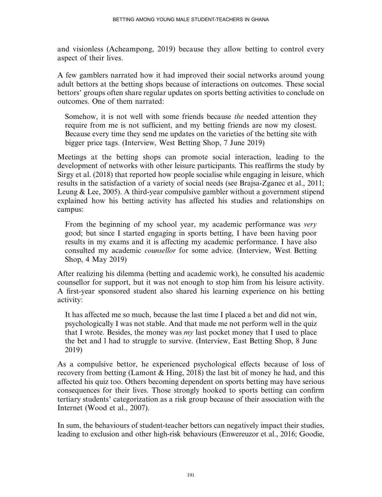and visionless (Acheampong, 2019) because they allow betting to control every aspect of their lives.

A few gamblers narrated how it had improved their social networks around young adult bettors at the betting shops because of interactions on outcomes. These social bettors' groups often share regular updates on sports betting activities to conclude on outcomes. One of them narrated:

Somehow, it is not well with some friends because the needed attention they require from me is not sufficient, and my betting friends are now my closest. Because every time they send me updates on the varieties of the betting site with bigger price tags. (Interview, West Betting Shop, 7 June 2019)

Meetings at the betting shops can promote social interaction, leading to the development of networks with other leisure participants. This reaffirms the study by Sirgy et al. (2018) that reported how people socialise while engaging in leisure, which results in the satisfaction of a variety of social needs (see Brajsa-Zganec et al., 2011; Leung & Lee, 2005). A third-year compulsive gambler without a government stipend explained how his betting activity has affected his studies and relationships on campus:

From the beginning of my school year, my academic performance was very good; but since I started engaging in sports betting, I have been having poor results in my exams and it is affecting my academic performance. I have also consulted my academic counsellor for some advice. (Interview, West Betting Shop, 4 May 2019)

After realizing his dilemma (betting and academic work), he consulted his academic counsellor for support, but it was not enough to stop him from his leisure activity. A first-year sponsored student also shared his learning experience on his betting activity:

It has affected me so much, because the last time I placed a bet and did not win, psychologically I was not stable. And that made me not perform well in the quiz that I wrote. Besides, the money was  $mv$  last pocket money that I used to place the bet and l had to struggle to survive. (Interview, East Betting Shop, 8 June 2019)

As a compulsive bettor, he experienced psychological effects because of loss of recovery from betting (Lamont & Hing, 2018) the last bit of money he had, and this affected his quiz too. Others becoming dependent on sports betting may have serious consequences for their lives. Those strongly hooked to sports betting can confirm tertiary students' categorization as a risk group because of their association with the Internet (Wood et al., 2007).

In sum, the behaviours of student-teacher bettors can negatively impact their studies, leading to exclusion and other high-risk behaviours (Enwereuzor et al., 2016; Goodie,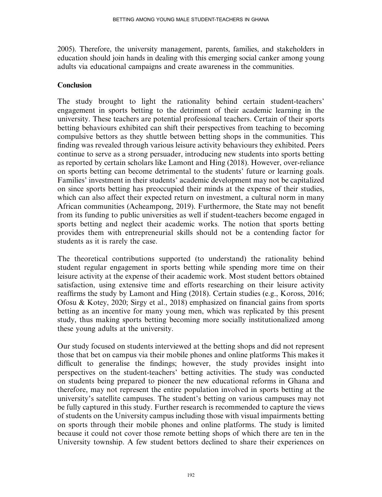2005). Therefore, the university management, parents, families, and stakeholders in education should join hands in dealing with this emerging social canker among young adults via educational campaigns and create awareness in the communities.

#### **Conclusion**

The study brought to light the rationality behind certain student-teachers' engagement in sports betting to the detriment of their academic learning in the university. These teachers are potential professional teachers. Certain of their sports betting behaviours exhibited can shift their perspectives from teaching to becoming compulsive bettors as they shuttle between betting shops in the communities. This finding was revealed through various leisure activity behaviours they exhibited. Peers continue to serve as a strong persuader, introducing new students into sports betting as reported by certain scholars like Lamont and Hing (2018). However, over-reliance on sports betting can become detrimental to the students' future or learning goals. Families' investment in their students' academic development may not be capitalized on since sports betting has preoccupied their minds at the expense of their studies, which can also affect their expected return on investment, a cultural norm in many African communities (Acheampong, 2019). Furthermore, the State may not benefit from its funding to public universities as well if student-teachers become engaged in sports betting and neglect their academic works. The notion that sports betting provides them with entrepreneurial skills should not be a contending factor for students as it is rarely the case.

The theoretical contributions supported (to understand) the rationality behind student regular engagement in sports betting while spending more time on their leisure activity at the expense of their academic work. Most student bettors obtained satisfaction, using extensive time and efforts researching on their leisure activity reaffirms the study by Lamont and Hing (2018). Certain studies (e.g., Koross, 2016; Ofosu & Kotey, 2020; Sirgy et al., 2018) emphasized on financial gains from sports betting as an incentive for many young men, which was replicated by this present study, thus making sports betting becoming more socially institutionalized among these young adults at the university.

Our study focused on students interviewed at the betting shops and did not represent those that bet on campus via their mobile phones and online platforms This makes it difficult to generalise the findings; however, the study provides insight into perspectives on the student-teachers' betting activities. The study was conducted on students being prepared to pioneer the new educational reforms in Ghana and therefore, may not represent the entire population involved in sports betting at the university's satellite campuses. The student's betting on various campuses may not be fully captured in this study. Further research is recommended to capture the views of students on the University campus including those with visual impairments betting on sports through their mobile phones and online platforms. The study is limited because it could not cover those remote betting shops of which there are ten in the University township. A few student bettors declined to share their experiences on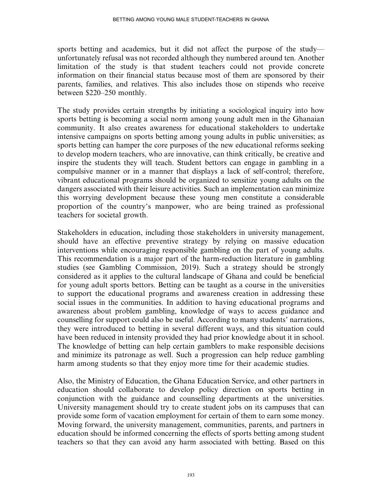sports betting and academics, but it did not affect the purpose of the study unfortunately refusal was not recorded although they numbered around ten. Another limitation of the study is that student teachers could not provide concrete information on their financial status because most of them are sponsored by their parents, families, and relatives. This also includes those on stipends who receive between \$220–250 monthly.

The study provides certain strengths by initiating a sociological inquiry into how sports betting is becoming a social norm among young adult men in the Ghanaian community. It also creates awareness for educational stakeholders to undertake intensive campaigns on sports betting among young adults in public universities; as sports betting can hamper the core purposes of the new educational reforms seeking to develop modern teachers, who are innovative, can think critically, be creative and inspire the students they will teach. Student bettors can engage in gambling in a compulsive manner or in a manner that displays a lack of self-control; therefore, vibrant educational programs should be organized to sensitize young adults on the dangers associated with their leisure activities. Such an implementation can minimize this worrying development because these young men constitute a considerable proportion of the country's manpower, who are being trained as professional teachers for societal growth.

Stakeholders in education, including those stakeholders in university management, should have an effective preventive strategy by relying on massive education interventions while encouraging responsible gambling on the part of young adults. This recommendation is a major part of the harm-reduction literature in gambling studies (see Gambling Commission, 2019). Such a strategy should be strongly considered as it applies to the cultural landscape of Ghana and could be beneficial for young adult sports bettors. Betting can be taught as a course in the universities to support the educational programs and awareness creation in addressing these social issues in the communities. In addition to having educational programs and awareness about problem gambling, knowledge of ways to access guidance and counselling for support could also be useful. According to many students' narrations, they were introduced to betting in several different ways, and this situation could have been reduced in intensity provided they had prior knowledge about it in school. The knowledge of betting can help certain gamblers to make responsible decisions and minimize its patronage as well. Such a progression can help reduce gambling harm among students so that they enjoy more time for their academic studies.

Also, the Ministry of Education, the Ghana Education Service, and other partners in education should collaborate to develop policy direction on sports betting in conjunction with the guidance and counselling departments at the universities. University management should try to create student jobs on its campuses that can provide some form of vacation employment for certain of them to earn some money. Moving forward, the university management, communities, parents, and partners in education should be informed concerning the effects of sports betting among student teachers so that they can avoid any harm associated with betting. Based on this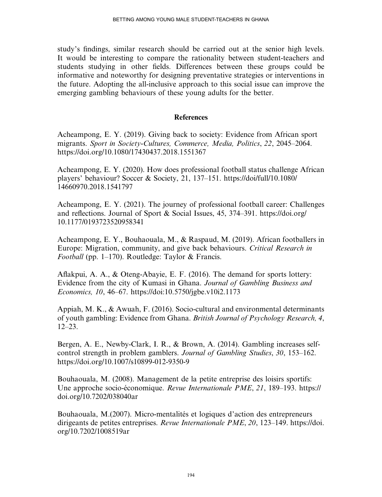study's findings, similar research should be carried out at the senior high levels. It would be interesting to compare the rationality between student-teachers and students studying in other fields. Differences between these groups could be informative and noteworthy for designing preventative strategies or interventions in the future. Adopting the all-inclusive approach to this social issue can improve the emerging gambling behaviours of these young adults for the better.

# **References**

Acheampong, E. Y. (2019). Giving back to society: Evidence from African sport migrants. Sport in Society-Cultures, Commerce, Media, Politics, 22, 2045–2064. <https://doi.org/10.1080/17430437.2018.1551367>

Acheampong, E. Y. (2020). How does professional football status challenge African players' behaviour? Soccer & Society, 21, 137–151. [https://doi/full/10.1080/](https://doi/full/10.1080/14660970.2018.1541797) [14660970.2018.1541797](https://doi/full/10.1080/14660970.2018.1541797)

Acheampong, E. Y. (2021). The journey of professional football career: Challenges and reflections. Journal of Sport & Social Issues, 45, 374–391. [https://doi.org/](https://doi.org/10.1177/0193723520958341) [10.1177/0193723520958341](https://doi.org/10.1177/0193723520958341)

Acheampong, E. Y., Bouhaouala, M., & Raspaud, M. (2019). African footballers in Europe: Migration, community, and give back behaviours. Critical Research in Football (pp. 1–170). Routledge: Taylor & Francis.

Aflakpui, A. A., & Oteng-Abayie, E. F. (2016). The demand for sports lottery: Evidence from the city of Kumasi in Ghana. Journal of Gambling Business and Economics, 10, 46–67.<https://doi:10.5750/jgbe.v10i2.1173>

Appiah, M. K., & Awuah, F. (2016). Socio-cultural and environmental determinants of youth gambling: Evidence from Ghana. British Journal of Psychology Research, 4, 12–23.

Bergen, A. E., Newby-Clark, I. R., & Brown, A. (2014). Gambling increases selfcontrol strength in problem gamblers. Journal of Gambling Studies, 30, 153–162. <https://doi.org/10.1007/s10899-012-9350-9>

Bouhaouala, M. (2008). Management de la petite entreprise des loisirs sportifs: Une approche socio-économique. Revue Internationale PME, 21, 189–193. [https://](https://doi.org/10.7202/038040ar) [doi.org/10.7202/038040ar](https://doi.org/10.7202/038040ar)

Bouhaouala, M.(2007). Micro-mentalités et logiques d'action des entrepreneurs dirigeants de petites entreprises. Revue Internationale PME, 20, 123–149. [https://doi.](https://doi.org/10.7202/1008519ar) [org/10.7202/1008519ar](https://doi.org/10.7202/1008519ar)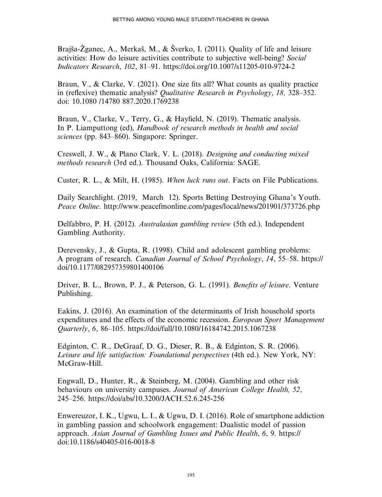Brajša-Žganec, A., Merkaš, M., & Šverko, I. (2011). Quality of life and leisure activities: How do leisure activities contribute to subjective well-being? Social Indicators Research, 102, 81–91.<https://doi.org/10.1007/s11205-010-9724-2>

Braun, V., & Clarke, V. (2021). One size fits all? What counts as quality practice in (reflexive) thematic analysis? Qualitative Research in Psychology, 18, 328–352. doi: 10.1080 /14780 887.2020.1769238

Braun, V., Clarke, V., Terry, G., & Hayfield, N. (2019). Thematic analysis. In P. Liamputtong (ed), Handbook of research methods in health and social sciences (pp. 843–860). Singapore: Springer.

Creswell, J. W., & Plano Clark, V. L. (2018). Designing and conducting mixed methods research (3rd ed.). Thousand Oaks, California: SAGE.

Custer, R. L., & Milt, H. (1985). When luck runs out. Facts on File Publications.

Daily Searchlight. (2019, March 12). Sports Betting Destroying Ghana's Youth. Peace Online.<http://www.peacefmonline.com/pages/local/news/201901/373726.php>

Delfabbro, P. H. (2012). Australasian gambling review (5th ed.). Independent Gambling Authority.

Derevensky, J., & Gupta, R. (1998). Child and adolescent gambling problems: A program of research. Canadian Journal of School Psychology, 14, 55–58. [https://](https://doi/10.1177/082957359801400106) [doi/10.1177/082957359801400106](https://doi/10.1177/082957359801400106)

Driver, B. L., Brown, P. J., & Peterson, G. L. (1991). Benefits of leisure. Venture Publishing.

Eakins, J. (2016). An examination of the determinants of Irish household sports expenditures and the effects of the economic recession. *European Sport Management* Quarterly, 6, 86–105.<https://doi/full/10.1080/16184742.2015.1067238>

Edginton, C. R., DeGraaf, D. G., Dieser, R. B., & Edginton, S. R. (2006). Leisure and life satisfaction: Foundational perspectives (4th ed.). New York, NY: McGraw-Hill.

Engwall, D., Hunter, R., & Steinberg, M. (2004). Gambling and other risk behaviours on university campuses. Journal of American College Health, 52, 245–256.<https://doi/abs/10.3200/JACH.52.6.245-256>

Enwereuzor, I. K., Ugwu, L. I., & Ugwu, D. I. (2016). Role of smartphone addiction in gambling passion and schoolwork engagement: Dualistic model of passion approach. Asian Journal of Gambling Issues and Public Health, 6, 9. [https://](https://doi:10.1186/s40405-016-0018-8) [doi:10.1186/s40405-016-0018-8](https://doi:10.1186/s40405-016-0018-8)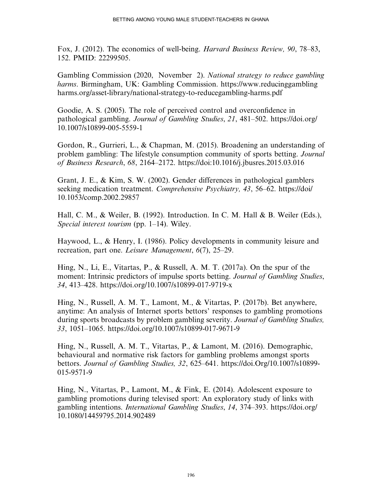Fox, J. (2012). The economics of well-being. Harvard Business Review, 90, 78–83, 152. PMID: 22299505.

Gambling Commission (2020, November 2). National strategy to reduce gambling harms. Birmingham, UK: Gambling Commission. [https://www.reducinggambling](https://www.reducinggamblingharms.org/asset-library/national-strategy-to-reducegambling-harms.pdf) [harms.org/asset-library/national-strategy-to-reducegambling-harms.pdf](https://www.reducinggamblingharms.org/asset-library/national-strategy-to-reducegambling-harms.pdf)

Goodie, A. S. (2005). The role of perceived control and overconfidence in pathological gambling. Journal of Gambling Studies, 21, 481–502. [https://doi.org/](https://doi.org/10.1007/s10899-005-5559-1) [10.1007/s10899-005-5559-1](https://doi.org/10.1007/s10899-005-5559-1)

Gordon, R., Gurrieri, L., & Chapman, M. (2015). Broadening an understanding of problem gambling: The lifestyle consumption community of sports betting. Journal of Business Research, 68, 2164–2172.<https://doi:10.1016/j.jbusres.2015.03.016>

Grant, J. E., & Kim, S. W. (2002). Gender differences in pathological gamblers seeking medication treatment. Comprehensive Psychiatry, 43, 56–62. [https://doi/](https://doi/10.1053/comp.2002.29857) [10.1053/comp.2002.29857](https://doi/10.1053/comp.2002.29857)

Hall, C. M., & Weiler, B. (1992). Introduction. In C. M. Hall & B. Weiler (Eds.), Special interest tourism (pp. 1–14). Wiley.

Haywood, L., & Henry, I. (1986). Policy developments in community leisure and recreation, part one. Leisure Management, 6(7), 25–29.

Hing, N., Li, E., Vitartas, P., & Russell, A. M. T. (2017a). On the spur of the moment: Intrinsic predictors of impulse sports betting. *Journal of Gambling Studies*, 34, 413–428.<https://doi.org/10.1007/s10899-017-9719-x>

Hing, N., Russell, A. M. T., Lamont, M., & Vitartas, P. (2017b). Bet anywhere, anytime: An analysis of Internet sports bettors' responses to gambling promotions during sports broadcasts by problem gambling severity. Journal of Gambling Studies, 33, 1051–1065.<https://doi.org/10.1007/s10899-017-9671-9>

Hing, N., Russell, A. M. T., Vitartas, P., & Lamont, M. (2016). Demographic, behavioural and normative risk factors for gambling problems amongst sports bettors. Journal of Gambling Studies, 32, 625–641. [https://doi.Org/10.1007/s10899-](https://doi.Org/10.1007/s10899-015-9571-9) [015-9571-9](https://doi.Org/10.1007/s10899-015-9571-9)

Hing, N., Vitartas, P., Lamont, M., & Fink, E. (2014). Adolescent exposure to gambling promotions during televised sport: An exploratory study of links with gambling intentions. International Gambling Studies, 14, 374–393. [https://doi.org/](https://doi.org/10.1080/14459795.2014.902489) [10.1080/14459795.2014.902489](https://doi.org/10.1080/14459795.2014.902489)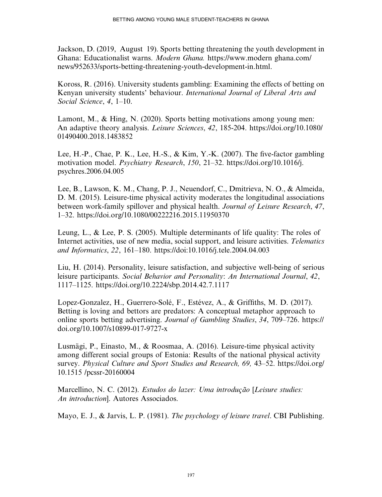Jackson, D. (2019, August 19). Sports betting threatening the youth development in Ghana: Educationalist warns. Modern Ghana. [https://www.modern ghana.com/](https://www.modern ghana.com/news/952633/sports-betting-threatening-youth-development-in.html) [news/952633/sports-betting-threatening-youth-development-in.html](https://www.modern ghana.com/news/952633/sports-betting-threatening-youth-development-in.html).

Koross, R. (2016). University students gambling: Examining the effects of betting on Kenyan university students' behaviour. International Journal of Liberal Arts and Social Science, 4, 1–10.

Lamont, M., & Hing, N. (2020). Sports betting motivations among young men: An adaptive theory analysis. Leisure Sciences, 42, 185-204. [https://doi.org/10.1080/](https://doi.org/10.1080/01490400.2018.1483852) [01490400.2018.1483852](https://doi.org/10.1080/01490400.2018.1483852)

Lee, H.-P., Chae, P. K., Lee, H.-S., & Kim, Y.-K. (2007). The five-factor gambling motivation model. Psychiatry Research, 150, 21–32. [https://doi.org/10.1016/j.](https://doi.org/10.1016/j.psychres.2006.04.005) [psychres.2006.04.005](https://doi.org/10.1016/j.psychres.2006.04.005)

Lee, B., Lawson, K. M., Chang, P. J., Neuendorf, C., Dmitrieva, N. O., & Almeida, D. M. (2015). Leisure-time physical activity moderates the longitudinal associations between work-family spillover and physical health. Journal of Leisure Research, 47, 1–32.<https://doi.org/10.1080/00222216.2015.11950370>

Leung, L., & Lee, P. S. (2005). Multiple determinants of life quality: The roles of Internet activities, use of new media, social support, and leisure activities. Telematics and Informatics, 22, 161–180.<https://doi:10.1016/j.tele.2004.04.003>

Liu, H. (2014). Personality, leisure satisfaction, and subjective well-being of serious leisure participants. Social Behavior and Personality: An International Journal, 42, 1117–1125.<https://doi.org/10.2224/sbp.2014.42.7.1117>

Lopez-Gonzalez, H., Guerrero-Solé, F., Estévez, A., & Griffiths, M. D. (2017). Betting is loving and bettors are predators: A conceptual metaphor approach to online sports betting advertising. Journal of Gambling Studies, 34, 709–726. [https://](https://doi.org/10.1007/s10899-017-9727-x) [doi.org/10.1007/s10899-017-9727-x](https://doi.org/10.1007/s10899-017-9727-x)

Lusmägi, P., Einasto, M., & Roosmaa, A. (2016). Leisure-time physical activity among different social groups of Estonia: Results of the national physical activity survey. Physical Culture and Sport Studies and Research, 69, 43–52. [https://doi.org/](https://doi.org/10.1515 /pcssr-20160004) [10.1515 /pcssr-20160004](https://doi.org/10.1515 /pcssr-20160004)

Marcellino, N. C. (2012). Estudos do lazer: Uma introdução [Leisure studies: An introduction]. Autores Associados.

Mayo, E. J., & Jarvis, L. P. (1981). *The psychology of leisure travel*. CBI Publishing.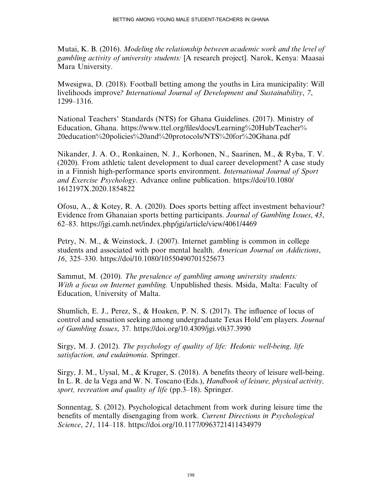Mutai, K. B. (2016). Modeling the relationship between academic work and the level of gambling activity of university students: [A research project]. Narok, Kenya: Maasai Mara University.

Mwesigwa, D. (2018). Football betting among the youths in Lira municipality: Will livelihoods improve? International Journal of Development and Sustainability, 7, 1299–1316.

National Teachers' Standards (NTS) for Ghana Guidelines. (2017). Ministry of Education, Ghana. https://www.ttel.org/fi[les/docs/Learning%20Hub/Teacher%](https://www.ttel.org/files/docs/Learning%20Hub/Teacher%20education%20policies%20and%20protocols/NTS%20for%20Ghana.pdf) [20education%20policies%20and%20protocols/NTS%20for%20Ghana.pdf](https://www.ttel.org/files/docs/Learning%20Hub/Teacher%20education%20policies%20and%20protocols/NTS%20for%20Ghana.pdf)

Nikander, J. A. O., Ronkainen, N. J., Korhonen, N., Saarinen, M., & Ryba, T. V. (2020). From athletic talent development to dual career development? A case study in a Finnish high-performance sports environment. International Journal of Sport and Exercise Psychology. Advance online publication. [https://doi/10.1080/](https://doi/10.1080/1612197X.2020.1854822) [1612197X.2020.1854822](https://doi/10.1080/1612197X.2020.1854822)

Ofosu, A., & Kotey, R. A. (2020). Does sports betting affect investment behaviour? Evidence from Ghanaian sports betting participants. Journal of Gambling Issues, 43, 62–83.<https://jgi.camh.net/index.php/jgi/article/view/4061/4469>

Petry, N. M., & Weinstock, J. (2007). Internet gambling is common in college students and associated with poor mental health. American Journal on Addictions, 16, 325–330.<https://doi/10.1080/10550490701525673>

Sammut, M. (2010). The prevalence of gambling among university students: With a focus on Internet gambling. Unpublished thesis. Msida, Malta: Faculty of Education, University of Malta.

Shumlich, E. J., Perez, S., & Hoaken, P. N. S. (2017). The influence of locus of control and sensation seeking among undergraduate Texas Hold'em players. Journal of Gambling Issues, 37.<https://doi.org/10.4309/jgi.v0i37.3990>

Sirgy, M. J. (2012). The psychology of quality of life: Hedonic well-being, life satisfaction, and eudaimonia. Springer.

Sirgy, J. M., Uysal, M., & Kruger, S. (2018). A benefits theory of leisure well-being. In L. R. de la Vega and W. N. Toscano (Eds.), *Handbook of leisure, physical activity*, sport, recreation and quality of life (pp.3–18). Springer.

Sonnentag, S. (2012). Psychological detachment from work during leisure time the benefits of mentally disengaging from work. Current Directions in Psychological Science, 21, 114–118.<https://doi.org/10.1177/0963721411434979>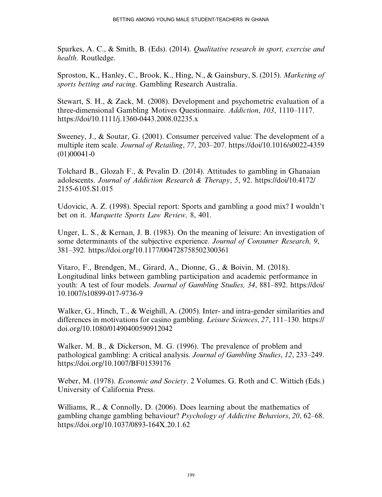Sparkes, A. C., & Smith, B. (Eds). (2014). Qualitative research in sport, exercise and health. Routledge.

Sproston, K., Hanley, C., Brook, K., Hing, N., & Gainsbury, S. (2015). Marketing of sports betting and racing. Gambling Research Australia.

Stewart, S. H., & Zack, M. (2008). Development and psychometric evaluation of a three-dimensional Gambling Motives Questionnaire. Addiction, 103, 1110–1117. <https://doi/10.1111/j.1360-0443.2008.02235.x>

Sweeney, J., & Soutar, G. (2001). Consumer perceived value: The development of a multiple item scale. Journal of Retailing, 77, 203–207. [https://doi/10.1016/s0022-4359](https://doi/10.1016/s0022-4359(01(00041-0) [\(01\)00041-0](https://doi/10.1016/s0022-4359(01(00041-0)

Tolchard B., Glozah F., & Pevalin D. (2014). Attitudes to gambling in Ghanaian adolescents. Journal of Addiction Research & Therapy, 5, 92. [https://doi/10.4172/](https://doi/10.4172/2155-6105.S1.015) [2155-6105.S1.015](https://doi/10.4172/2155-6105.S1.015)

Udovicic, A. Z. (1998). Special report: Sports and gambling a good mix? I wouldn't bet on it. Marquette Sports Law Review, 8, 401.

Unger, L. S., & Kernan, J. B. (1983). On the meaning of leisure: An investigation of some determinants of the subjective experience. Journal of Consumer Research, 9, 381–392.<https://doi.org/10.1177/004728758502300361>

Vitaro, F., Brendgen, M., Girard, A., Dionne, G., & Boivin, M. (2018). Longitudinal links between gambling participation and academic performance in youth: A test of four models. Journal of Gambling Studies, 34, 881–892. [https://doi/](https://doi/10.1007/s10899-017-9736-9) [10.1007/s10899-017-9736-9](https://doi/10.1007/s10899-017-9736-9)

Walker, G., Hinch, T., & Weighill, A. (2005). Inter- and intra-gender similarities and differences in motivations for casino gambling. Leisure Sciences, 27, 111-130. [https://](https://doi.org/10.1080/01490400590912042) [doi.org/10.1080/01490400590912042](https://doi.org/10.1080/01490400590912042)

Walker, M. B., & Dickerson, M. G. (1996). The prevalence of problem and pathological gambling: A critical analysis. Journal of Gambling Studies, 12, 233–249. <https://doi.org/10.1007/BF01539176>

Weber, M. (1978). Economic and Society. 2 Volumes. G. Roth and C. Wittich (Eds.) University of California Press.

Williams, R., & Connolly, D. (2006). Does learning about the mathematics of gambling change gambling behaviour? Psychology of Addictive Behaviors, 20, 62–68. <https://doi.org/10.1037/0893-164X.20.1.62>